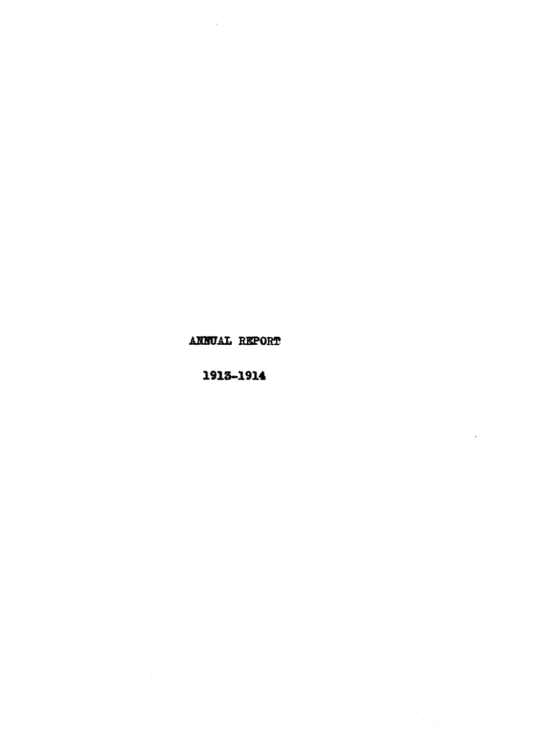## ANNUAL RIPORT

## 1913-1914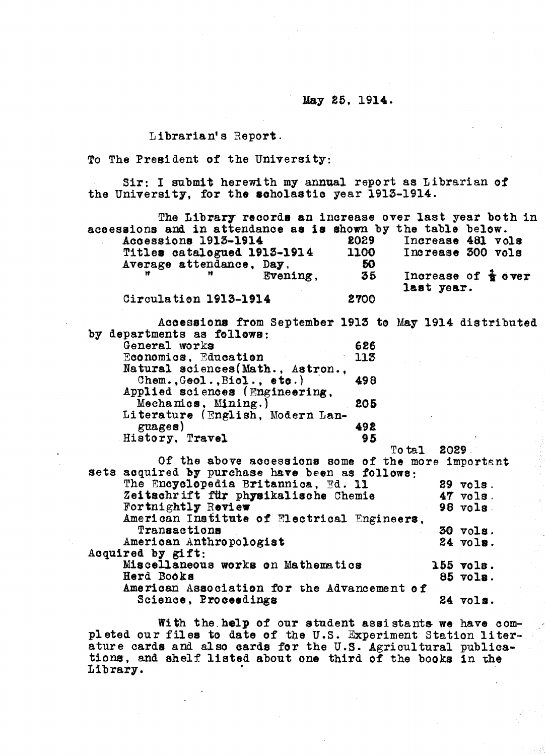May 25, 1914.

Librarian's Report.

To The President of the University:

Sir: I submit herewith my annual report as Librarian of the University, for the scholastic year 1913-1914.

|                             |  |  |          | The Library records an increase over last year both in       |  |                                |  |  |
|-----------------------------|--|--|----------|--------------------------------------------------------------|--|--------------------------------|--|--|
|                             |  |  |          | accessions and in attendance as is shown by the table below. |  |                                |  |  |
| Accessions 1913-1914        |  |  |          | 2029                                                         |  | Increase 481 vols              |  |  |
| Titles catalogued 1913-1914 |  |  |          | 1100                                                         |  | Increase 300 vols              |  |  |
| Average attendance, Day,    |  |  |          | 50                                                           |  |                                |  |  |
|                             |  |  | Evening. | 35                                                           |  | Increase of $\frac{1}{2}$ over |  |  |
|                             |  |  |          |                                                              |  | last year.                     |  |  |
| Circulation 1913-1914       |  |  |          | 2700                                                         |  |                                |  |  |
|                             |  |  |          |                                                              |  |                                |  |  |

Acoessions from September 1913 to May 1914 distributed by departments as follows: General works 626<br>Economics, Education 113 Economics, Education Natural sciences(Math., Astron.,<br>Chem., Geol., Biol., etc.) 498  $Chem.$ , Geol., Biol., etc.) Applied sciences (Engineering,<br>Mechanics, Mining.) 205 Mechanics, Mining.) Literature (English, Modern Languages) (1928)<br>story. Travel (1949) (1949) History, Travel

| Of the above accessions some of the more important<br>sets acquired by purchase have been as follows:<br>The Encyclopedia Britannica, Ed. 11<br>29 vols.<br>Zeitschrift für physikalische Chemie<br>$47$ vols.<br>Fortnightly Review<br>$98$ vols.<br>American Institute of Electrical Engineers,<br>Transactions<br>$30$ $vols$ .<br>American Anthropologist<br>$24$ $vol$ s.<br>Acquired by gift:<br>Miscellaneous works on Mathematics<br>$155$ vols.<br>Herd Books<br>85 vols.<br>American Association for the Advancement of<br>Science, Proceedings<br>$24$ $vols.$ |  | To tal 2029. |  |  |  |  |  |  |  |  |  |
|---------------------------------------------------------------------------------------------------------------------------------------------------------------------------------------------------------------------------------------------------------------------------------------------------------------------------------------------------------------------------------------------------------------------------------------------------------------------------------------------------------------------------------------------------------------------------|--|--------------|--|--|--|--|--|--|--|--|--|
|                                                                                                                                                                                                                                                                                                                                                                                                                                                                                                                                                                           |  |              |  |  |  |  |  |  |  |  |  |
|                                                                                                                                                                                                                                                                                                                                                                                                                                                                                                                                                                           |  |              |  |  |  |  |  |  |  |  |  |
|                                                                                                                                                                                                                                                                                                                                                                                                                                                                                                                                                                           |  |              |  |  |  |  |  |  |  |  |  |
|                                                                                                                                                                                                                                                                                                                                                                                                                                                                                                                                                                           |  |              |  |  |  |  |  |  |  |  |  |
|                                                                                                                                                                                                                                                                                                                                                                                                                                                                                                                                                                           |  |              |  |  |  |  |  |  |  |  |  |
|                                                                                                                                                                                                                                                                                                                                                                                                                                                                                                                                                                           |  |              |  |  |  |  |  |  |  |  |  |
|                                                                                                                                                                                                                                                                                                                                                                                                                                                                                                                                                                           |  |              |  |  |  |  |  |  |  |  |  |
|                                                                                                                                                                                                                                                                                                                                                                                                                                                                                                                                                                           |  |              |  |  |  |  |  |  |  |  |  |
|                                                                                                                                                                                                                                                                                                                                                                                                                                                                                                                                                                           |  |              |  |  |  |  |  |  |  |  |  |
|                                                                                                                                                                                                                                                                                                                                                                                                                                                                                                                                                                           |  |              |  |  |  |  |  |  |  |  |  |
|                                                                                                                                                                                                                                                                                                                                                                                                                                                                                                                                                                           |  |              |  |  |  |  |  |  |  |  |  |
|                                                                                                                                                                                                                                                                                                                                                                                                                                                                                                                                                                           |  |              |  |  |  |  |  |  |  |  |  |
|                                                                                                                                                                                                                                                                                                                                                                                                                                                                                                                                                                           |  |              |  |  |  |  |  |  |  |  |  |

With the help of our student assistants we have completed our files to date of the U.S. Experiment Station literature cards and also cards for the U.S. Agricultural publications, and shelf listed about one third of the books in the Library.